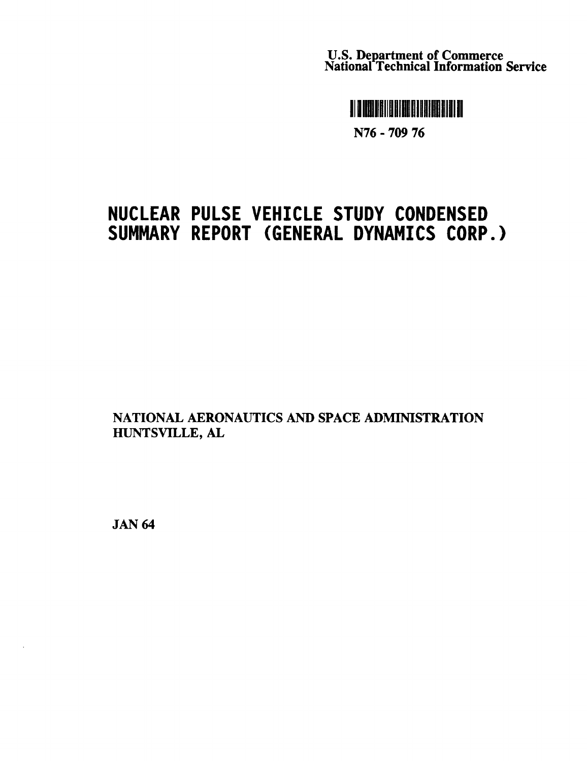**U.S. Department of Commerce<br>National Technical Information Service** 

## 

N76 - 709 76

# NUCLEAR PULSE VEHICLE STUDY CONDENSED SUMMARY REPORT (GENERAL DYNAMICS CORP.)

NATIONAL AERONAUTICS AND SPACE ADMINISTRATION HUNTSVILLE, AL

**JAN 64**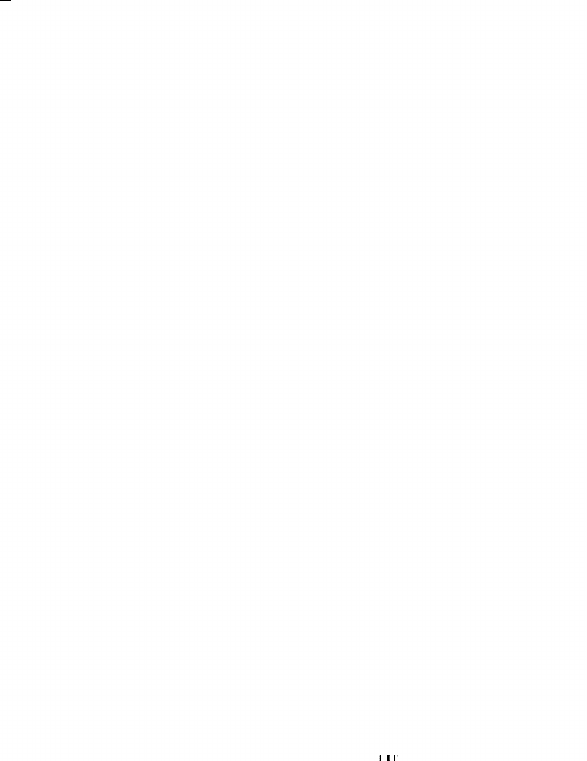THE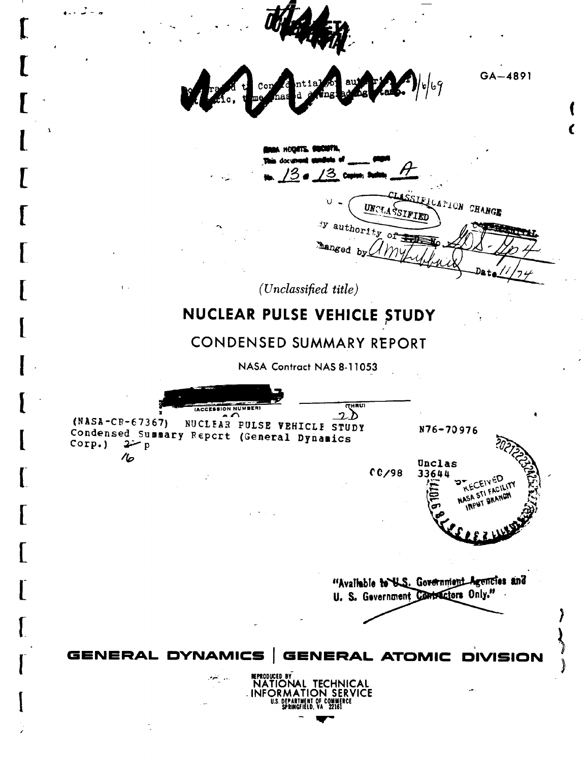GA-4891 /b/69 M HOQATS, SQCAFFA, This document candida '3• 13 SELETCATION CHANGE Ō. UNCHASSIFIED  $\sqrt[3]{y}$  authority  $\Omega$ *Manged* by (Unclassified title) NUCLEAR PULSE VEHICLE STUDY **CONDENSED SUMMARY REPORT** NASA Contract NAS 8-11053  $\overline{\text{THRU}}$ (ACCESSION NUMBER) 2D - ^  $(NASA-CF-67367)$ NUCLEAR PULSE VEHICLE STUDY Condensed Summary Report (General Dynamics N76-70976  $\widehat{\mathscr{D}}$  $2 - p$  $Corp.$ )  $\frac{1}{6}$ Unclas  $00/98$ 33644 **KECEIVED PAECEIVED**<br>NASA STI FACILITY SA STI FACTER "Available to U.S. Government Agencies and U. S. Gevernment Contractors Only." GENERAL DYNAMICS GENERAL ATOMIC DIVISION وبالمراضيع **NATIONAL TECHNICAL • INFORMATION SERVICE** U.S. DEPARTMENT OF COMMERCE<br>SPRINGFIELD, VA 22161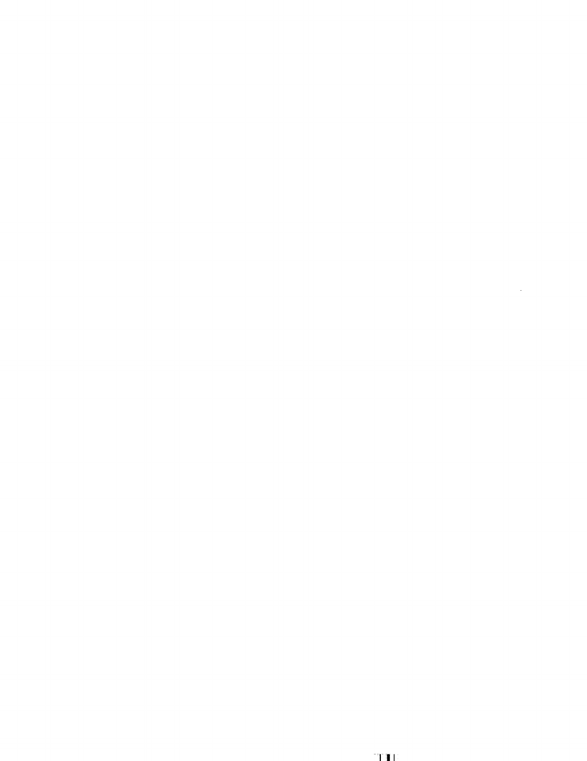$\sim 10^{-11}$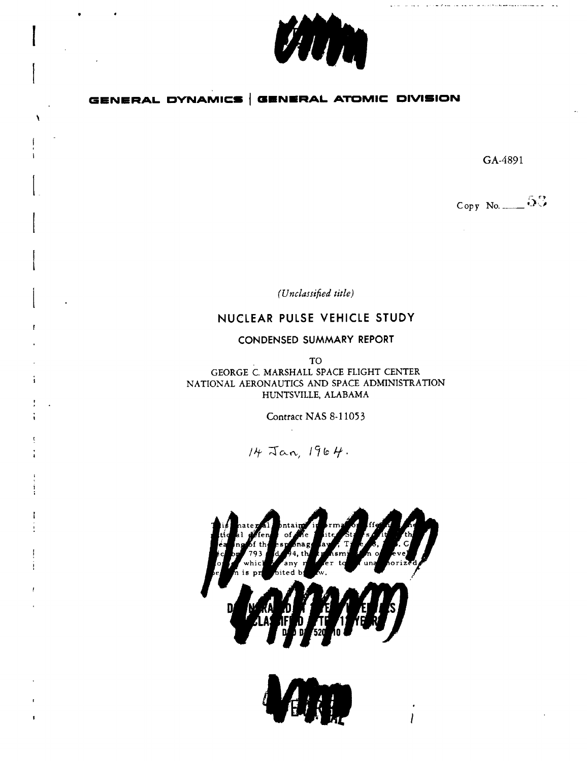

## **GENERAl- DYNAMICS** i Q|NliRAI. **ATOMIC DIVISION**

 $\left[\right]$ 

GA-4891

ستحدث ويناهم والمحافظ والمحاربة والمحارب والمتناقي للمحافر المتناقر

 $Copy No. \_\_ \tilde{\mathfrak{O}} \overset{\mathcal{O}}{\circ}$ 

*(Unclassified title)*

## NUCLEAR **PULSE** VEHICLE STUDY

## **CONDENSED SUMMARY REPORT**

TO GEORGE C. **MARSHALL** SPACE **FLIGHT** CENTER NATIONAL AERONAUTICS AND SPACE ADMINISTRATION HUNTSVILLE, ALABAMA

Contract NAS 8-11053

 $14$   $\pi$ an,  $1964$ .

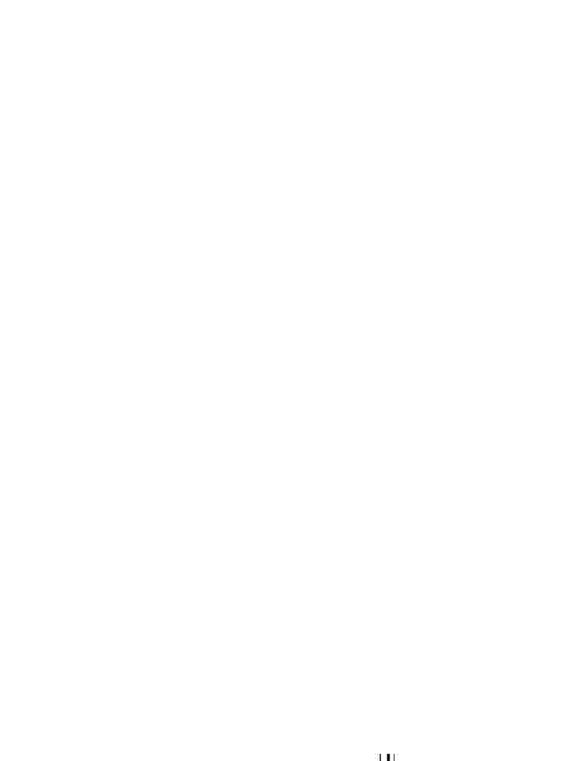阻止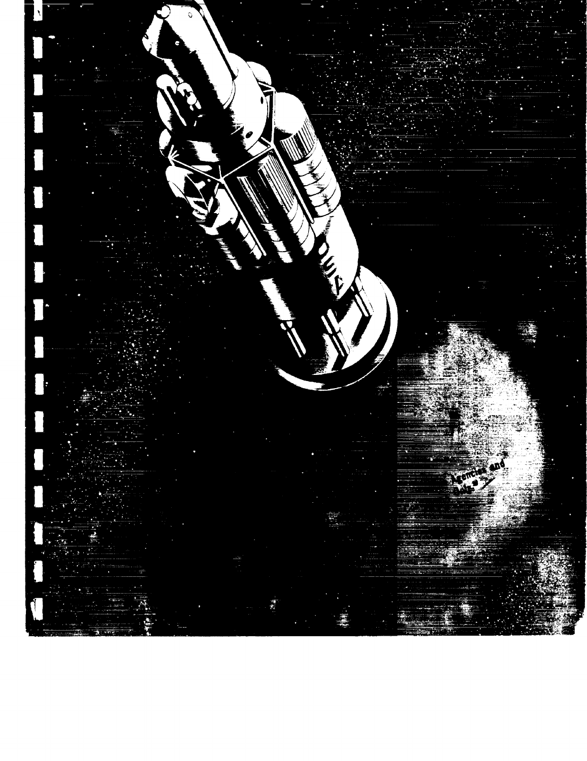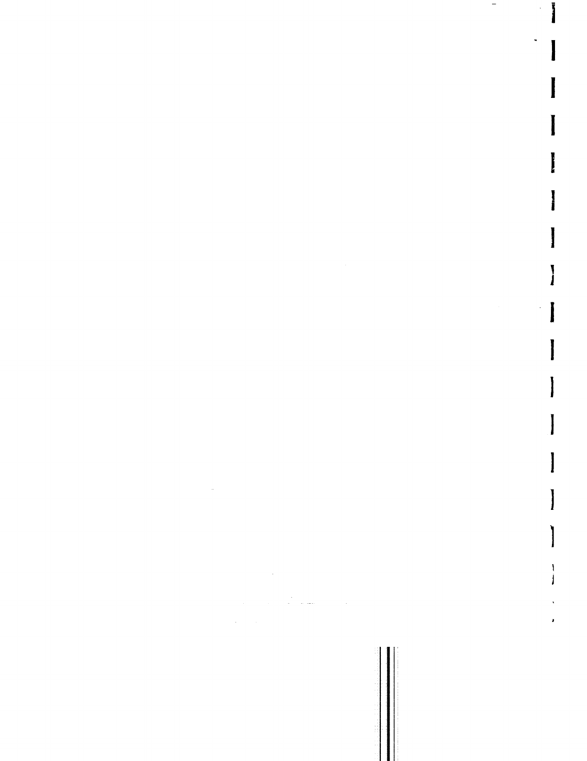$\label{eq:2.1} \frac{1}{\sqrt{2}}\left(\frac{1}{\sqrt{2}}\right)^{2} \left(\frac{1}{\sqrt{2}}\right)^{2} \left(\frac{1}{\sqrt{2}}\right)^{2} \left(\frac{1}{\sqrt{2}}\right)^{2} \left(\frac{1}{\sqrt{2}}\right)^{2} \left(\frac{1}{\sqrt{2}}\right)^{2} \left(\frac{1}{\sqrt{2}}\right)^{2} \left(\frac{1}{\sqrt{2}}\right)^{2} \left(\frac{1}{\sqrt{2}}\right)^{2} \left(\frac{1}{\sqrt{2}}\right)^{2} \left(\frac{1}{\sqrt{2}}\right)^{2} \left(\$ 

 $\label{eq:2.1} \frac{1}{\sqrt{2}}\left(\frac{1}{\sqrt{2}}\right)^{2} \left(\frac{1}{\sqrt{2}}\right)^{2} \left(\frac{1}{\sqrt{2}}\right)^{2} \left(\frac{1}{\sqrt{2}}\right)^{2} \left(\frac{1}{\sqrt{2}}\right)^{2} \left(\frac{1}{\sqrt{2}}\right)^{2} \left(\frac{1}{\sqrt{2}}\right)^{2} \left(\frac{1}{\sqrt{2}}\right)^{2} \left(\frac{1}{\sqrt{2}}\right)^{2} \left(\frac{1}{\sqrt{2}}\right)^{2} \left(\frac{1}{\sqrt{2}}\right)^{2} \left(\$ 

 $\label{eq:2.1} \mathcal{L}(\mathcal{L}^{\text{max}}_{\mathcal{L}}(\mathcal{L}^{\text{max}}_{\mathcal{L}}(\mathcal{L}^{\text{max}}_{\mathcal{L}}(\mathcal{L}^{\text{max}}_{\mathcal{L}^{\text{max}}_{\mathcal{L}}})))))$  $\label{eq:2.1} \frac{1}{\sqrt{2\pi}}\int_{\mathbb{R}^3}\frac{1}{\sqrt{2\pi}}\int_{\mathbb{R}^3}\frac{1}{\sqrt{2\pi}}\int_{\mathbb{R}^3}\frac{1}{\sqrt{2\pi}}\int_{\mathbb{R}^3}\frac{1}{\sqrt{2\pi}}\int_{\mathbb{R}^3}\frac{1}{\sqrt{2\pi}}\int_{\mathbb{R}^3}\frac{1}{\sqrt{2\pi}}\int_{\mathbb{R}^3}\frac{1}{\sqrt{2\pi}}\int_{\mathbb{R}^3}\frac{1}{\sqrt{2\pi}}\int_{\mathbb{R}^3}\frac{1$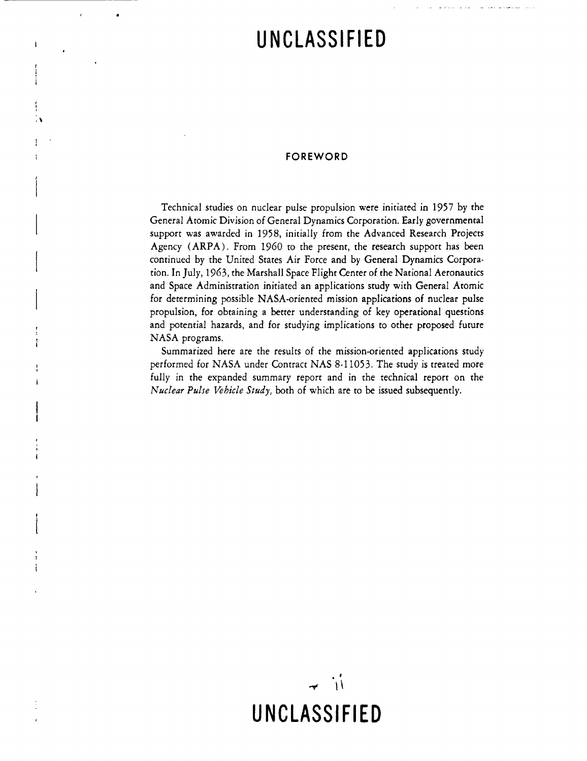# UNCLASSIFIED

ł

## **FOREWORD**

Technical studies on nuclear pulse propulsion were initiated in 1957 by the General Atomic Division of General Dynamics Corporation. Early governmental support was **awarded** in 1958, initially from the Advanced **Research** Projects Agency (ARPA). From 1960 to the present, the research support has been continued by the **United** States Air **Force and** by General Dynamics Corporation. In July, 1963, the **Marshall** Space **Flight** Center of the National Aeronautics **and** Space Administration initiated **an applications** study with General Atomic for determining possible NASA-oriented mission **applications** of nuclear pulse propulsion, for obtaining **a** better understanding of key operational questions **and** potential hazards, **and** for studying implications to other proposed future NASA programs.

Summarized here **are** the results of the mission-oriented **applications** study performed for NASA under Contract NAS 8-11053. The study is treated more fully in the expanded summary report **and** in the technical report on the *Nuclear Pulse Vehicle Study,* both of which **are** to be issued subsequently.

**UNCLASSIFIED**

. .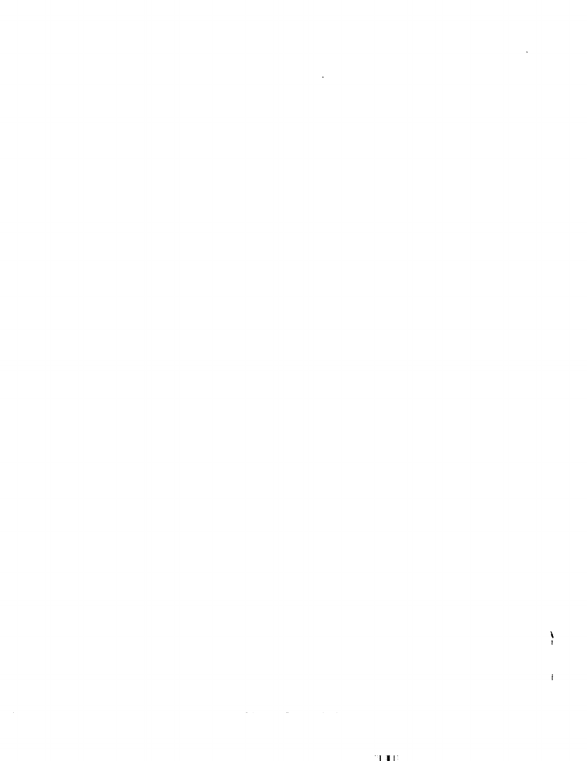$\label{eq:2.1} \frac{1}{\sqrt{2}}\int_{\mathbb{R}^3}\frac{1}{\sqrt{2}}\left(\frac{1}{\sqrt{2}}\right)^2\frac{1}{\sqrt{2}}\left(\frac{1}{\sqrt{2}}\right)^2\frac{1}{\sqrt{2}}\left(\frac{1}{\sqrt{2}}\right)^2\frac{1}{\sqrt{2}}\left(\frac{1}{\sqrt{2}}\right)^2.$ 

 $\mathcal{L}(\mathcal{L}^{\mathcal{L}})$  and  $\mathcal{L}^{\mathcal{L}}$  . The set of  $\mathcal{L}^{\mathcal{L}}$ 

 $\sum_{i=1}^{n}$ 

 $\bar{1}$  .

 $\mathcal{L}_{\mathcal{A}}$  and  $\mathcal{L}_{\mathcal{A}}$  are the set of the set of the set of the set of  $\mathcal{A}$ 

四面目。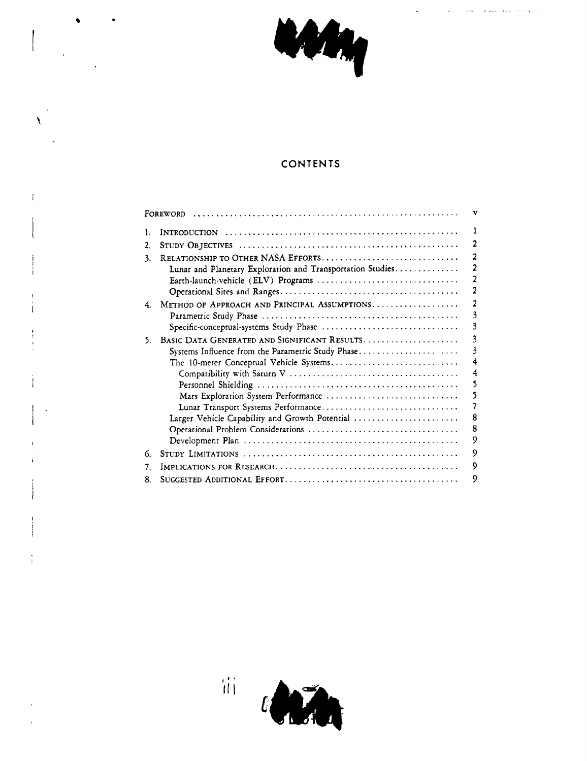

 $\bar{ }$ 

 $\pmb{\setminus}$ 

 $\mathbf{I}$ 

 $\bar{\bar{z}}$ 

## CONTENTS

|    | <b>FOREWORD</b>                                            | v |
|----|------------------------------------------------------------|---|
| 1. |                                                            |   |
| 2. |                                                            | 2 |
| 3. | RELATIONSHIP TO OTHER NASA EFFORTS                         | 2 |
|    | Lunar and Planetary Exploration and Transportation Studies | 2 |
|    | Earth-launch-vehicle (ELV) Programs                        | 2 |
|    |                                                            | 2 |
| 4. | METHOD OF APPROACH AND PRINCIPAL ASSUMPTIONS               | 2 |
|    |                                                            |   |
|    | Specific-conceptual-systems Study Phase                    |   |
| 5. | BASIC DATA GENERATED AND SIGNIFICANT RESULTS               |   |
|    | Systems Influence from the Parametric Study Phase          |   |
|    | The 10-meter Conceptual Vehicle Systems                    | 4 |
|    |                                                            | 4 |
|    |                                                            |   |
|    | Mars Exploration System Performance                        | 5 |
|    | Lunar Transport Systems Performance                        |   |
|    | Larger Vehicle Capability and Growth Potential             | 8 |
|    |                                                            | 8 |
|    |                                                            | 9 |
| 6. |                                                            | 9 |
| 7. |                                                            | 9 |
| 8. |                                                            | 9 |

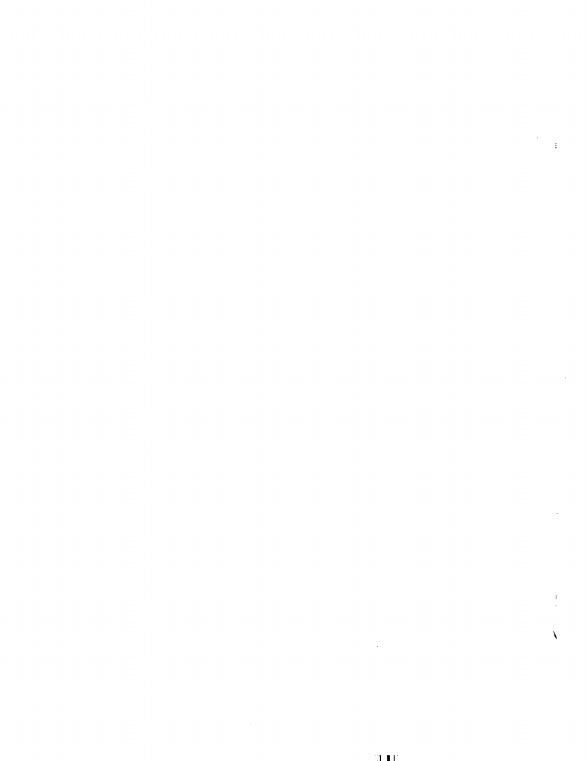$\frac{1}{\sqrt{2}}\sum_{i=1}^{n} \frac{1}{\sqrt{2}}\left(\frac{1}{\sqrt{2}}\right)^2$ 

 $\mathcal{L}^{\text{max}}$ 

 $\frac{1}{\sqrt{2}}$  $\hat{\mathbf{V}}$  $\mathcal{L}^{\text{max}}_{\text{max}}$ 

**THEFT**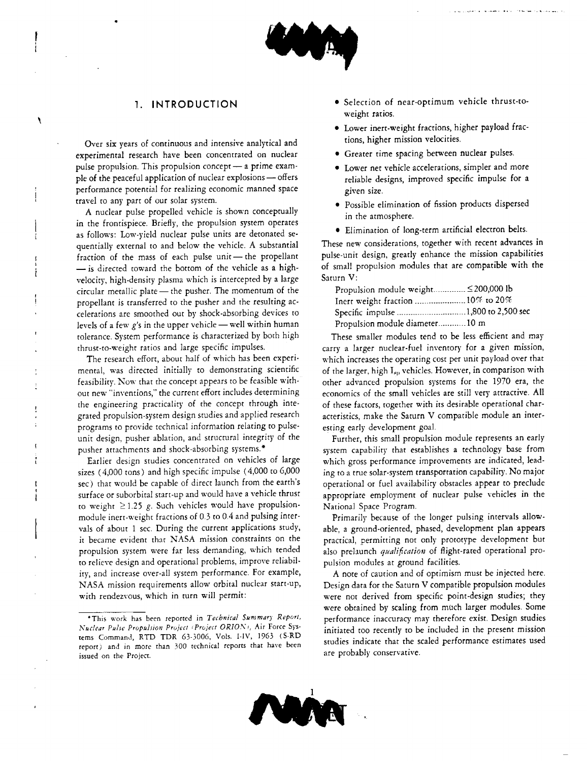

## I. INTRODUCTION

١

Ì

ţ

ł

Over six years of continuous **and** intensive analytical **and** experimental research have been concentrated on nuclear pulse propulsion. This propulsion concept - a prime example of the peaceful application of nuclear explosions -- offers performance potential **for** realizing economic manned space travel to **any** part of our solar system.

A nuclear pulse propelled vehicle is shown conceptually in the **frontispiece.** Briefly, the propulsion system operates **as** follows: **Low-yield** nuclear pulse units are detonated sequentially external to and below the vehicle. A substantial fraction of the mass of each pulse unit-the propellant is directed toward the bottom of the vehicle **as a** highvelocity, high-density plasma which is *intercepted* by **a** large circular metallic plate - the pusher. The momentum of the propellant is transferred to the pusher and the resulting **ac**celerations are smoothed out by shock-absorbing devices to levels of a few  $g'$ s in the upper vehicle — well within human tolerance. System performance is characterized by both high thrust-to-weight ratios **and** large specific impulses.

The research effort, **about** half of which has been experimental, was directed initiaIly to demonstrating scientific **feasibility.** Now that the concept appears to be **feasible** without new "inventions," the current effort includes determining the engineering practicality of the concept through integrated propulsion-system design studies and applied research programs to provide technical information relating to pulseunit design, pusher ablation, and structural integrity of the pusher attachments and shock-absorbing systems.\*

Earlier design studies concentrated on vehicles of large sizes (4,000 tons) and high specific impulse (4,000 to **6,000** sec) that would be capable of direct launch **from** the earth's surface or suborbital start-up and would have a vehicle thrust to weight  $\geq$  1.25 *g*. Such vehicles would have propulsionmodule inert-weight fractions of 0.3 to 0.4 **and** pulsing intervals of about 1 sec. During the current applications study, it became evident that NASA mission constraints on the propulsion system were **far** less demanding, which tended to relieve design and operational problems, improve reliability, and increase over-all system performance. **For** example, NASA mission requirements allow orbital nuclear start-up, with rendezvous, which in turn will permit:

- Selection of near-optimum vehicle thrust-toweight ratios.
- **Lower** inert-weight fractions, higher payload fractions, higher mission velocities.
- Greater time spacing between nuclear pulses.
- **Lower** net vehicle accelerations, simpler and more reliable designs, improved specific impulse for **a** given size.
- Possible elimination of fission products dispersed in the **atmosphere.**
- Elimination of long-term **artificial** electron belts.

These new considerations, together with recent **advances** in pulse-unit design, greatly enhance the mission capabilities of small propulsion modules that **are** compatible with the Saturn V:

| Propulsion module weight ≤200,000 lb |  |
|--------------------------------------|--|
| Inert weight fraction  10% to 20%    |  |
| Specific impulse 1,800 to 2,500 sec  |  |
| Propulsion module diameter10 m       |  |

These smaller modules tend to be less efficient and may carry a larger nuclear-fuel inventory for a given mission, which increases the operating cost per unit payload over that of the larger, high I<sub>sp</sub> vehicles. However, in comparison with other **advanced** propulsion systems for the 1970 era, the economics of the small vehicles **are** still very **attractive.** All of these factors, together with its desirable operational characteristics, make the Saturn V compatible module **an** interesting early development goal.

**Further,** this small propulsion module represents an early system capability that establishes **a** technology base from which gross performance improvements are indicated, leading to **a** true solar-system transportation capability. No major operational or fuel **availability** obstacles appear to preclude **appropriate** employment of nuclear pulse vehicles in the National Space Program.

Primarily because of the longer pulsing intervals **allowable, a** ground-oriented, phased, development plan appears practical, permitting **not** only prototype development but **also** prelaunch *qualification* of **fllght-rated** operational propulsion modules at ground facilities.

A note of caution and of optimism must be injected here. Design data for the Saturn V compatible propulsion modules **were** not derived from specific point-design studies; they were obtained by scaling from much larger modules. Some performance inaccuracy may therefore exist. Design studies initiated too recently to be included in the present mission studies indicate that the scaled performance estimates used are probably conservative.



<sup>\*</sup>This work has been **reported** in *Technical Summar) Report,* Nuclear *Pulse Propulsion Project* \_Pro]ect *ORION6* Air **Force** Sys**tems** Command, **RTD** TDR 63-3006, Vols. I-IV, 1963 (S-RD report) **and** in more than 300 **technical** reports that have been issued on **the** Project.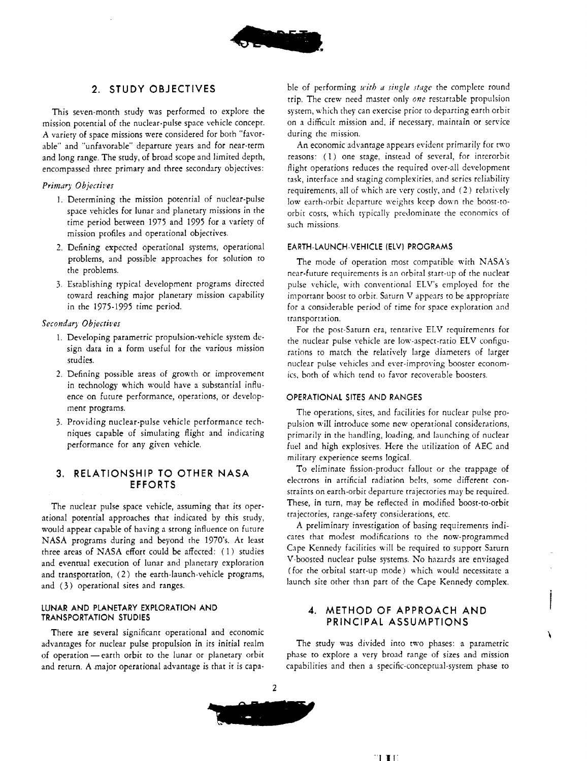

## 2. STUDY OBJECTIVES

This seven-month study was performed to explore the mission potential of the nuclear-pulse space vehicle concept. A variety of space missions were considered for both "favorable" and "unfavorable" departure years and for near-term **and** long range. The study, of broad scope **and** limited depth, encompassed three primary **and** three **secondary** objectives:

#### *Primary Objectives*

- 1. Determining the mission potential of nuclear-pulse space vehicles for lunar **and** planetary missions **in** the time period between 1975 and 1995 for **a** variety of mission profiles and operational objectives.
- 2. Defining expected operational systems, operational problems, and possible **approaches for** solution to the problems.
- 3. Establishing typical development programs directed *toward* reaching major planetary mission capability in the 1975-1995 time period.

### *Secondary Objecti\_'es*

- 1. Developing parametric propulsion-vehicle system design data in **a** form useful for the various mission studies.
- 2. Defining possible areas of growth or *improvement* in *technology* which would have a substantial influence on future performance, **operations,** or developmenr programs.
- 3. Providing nuclear-pulse vehicle performance tech**niques** capable of simulating flight and indicating performance **for** any given vehicle.

## 3. RELATIONSHIP TO OTHER NASA EFFORTS

The nuclear **pulse** space vehicle, assuming **that its** oper**ational** potential **approaches** that indicated by *this* study, would appear capable of having a strong influence on future NASA programs during and beyond the 1970's. At least three areas of NASA effort could be affected: (1) studies **and** eventual execution of lunar **and** planetary exploration **and** transportation, (2) the earth-Iaunch-vehicle programs, and (3) operational sites **and** ranges.

### LUNAR AND PLANETARY EXPLORATION AND TRANSPORTATION STUDIES

There are several significant operational and economic advantages for nuclear pulse propuIsion in its initial realm of operation--earth orbit to the lunar or **planetary** orbit and return. A major operational **advantage** is that it is capable of performing *with a single stage* the *complete* round trip. The crew need **master** only *one* restartable propulsion system, which they can exercise prior to departing earth orbit on a difficult mission and, if necessary, maintain or service during the mission.

An economic advantage appears evident primarily for two reasons: (1) one stage, instead of several, for interorbit flight operations reduces the required over.all development task, interface and staging complexities, and series reliability requirements, all of which are very costly, and **(2)** relatively low earth-orbit departure weights keep down the boost-toorbit costs, which typically predominate the economics o6 such missions.

#### EARTH-LAUNCH-VEHICLE (ELV) PROGRAMS

The mode of operation most compatible with NASA's near-future requirements is an orbital start-up of the nuclear pulse vehicle, with conventional ELV's employed for the important boost to orbit. Saturn V appears to be appropriate for **a** considerable period of time for *space* exploration and transportation.

For the post-Saturn era, tentative ELV requirements for the nuclear pulse vehicle are low-aspect-ratio ELV configurations to match the relatively large diameters of larger nuclear pulse vehicles and ever-lmproving booster economics, both of which tend to favor recoverable boosters.

### OPERATIONAL SITESAND RANGES

The operations, sites, and facilities for nuclear **pulse** propulsion will introduce some new operational considerations, primarily in the handling, loading, and launching of nuclear fuel and high explosives. Here the utilization of AEC and military experience seems logical.

To eliminate **fission-product** fallout or the trappage of electrons in artificial radiation belts, some different *con*straints on earth-orbit departure trajectories may be required. These, **in** turn, may be reflected in modified boost-to-orbit trajectories, range-safety considerations, etc.

A preliminary *investigation* of basing requirements indi*cates* that modest modifications to the now-programmed Cape Kennedy facilities will be required to support Saturn V-boosted **nuclear** pulse systems. No hazards are envisaged **(for** the orbital start-up mode) which would necessitate a launch site other than part of the Cape Kennedy *complex.*

## 4. METHOD OF APPROACH AND PRINCIPAL ASSUMPTIONS

The study was divided into two phases: **a** parametric phase to explore a very broad range of sizes and mission capabilities and then a specific-conceptual-system phase to

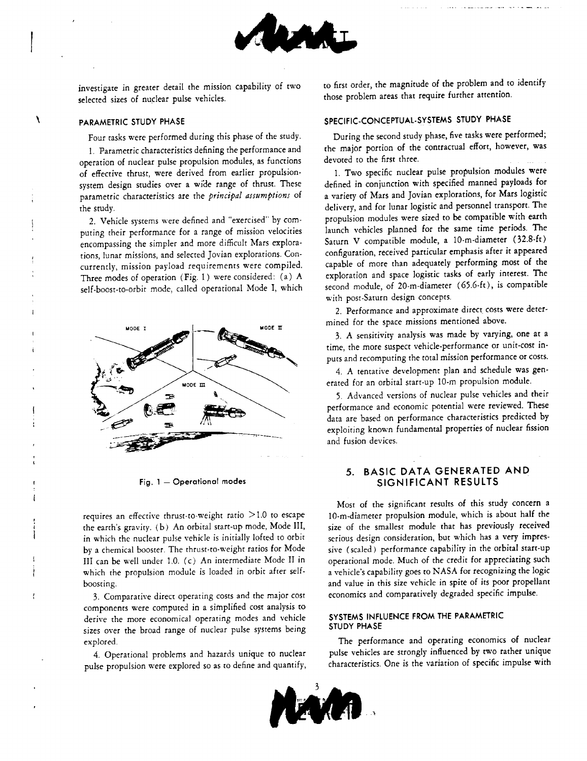

investigate in greater detail the mission capability of two selected sizes of nuclear pulse vehicles.

#### PARAMETRIC STUDY PHASE

١

Ţ

Four tasks were performed during this phase of the study.

**1.** Parametric characteristics defining the performance and operation of nuclear pulse propulsion modules, as **functions** of effective thrust, were derived from earlier propulsionsystem design studies over a wide range of thrust. These parametric characteristics **are** the *principal assumptions* of the study.

2. Vehicle systems were defined and "exercised" by computing their performance **for** a range of mission velocities encompassing the simpler and more difficult **Mars** explorations, lunar missions, and selected Jovian explorations. Concurrently, mission payload requirements were compiled. Three modes of operation (Fig. I ) were considered: (a) *A* self-boost-to-orbit mode, called operational Mode I, which



**Fig. 1 --** Operational modes

requires an effective thrust-to-weight ratio >1.0 to escape the earth's gravity. (b) *An* orbital start-up mode, Mode III, in which the nuclear pulse vehicle is initially lofted to orbit by a chemical booster. The thrust-to-weight ratios **for** Mode III can be well under 1.0. *(c)* An intermediate Mode II in which the propulsion module is loaded in orbit after selfboosting.

3. Comparative direct operating costs and the major cost components were computed in a simplified cost analysis to derive the more economical operating modes and vehicle sizes over the broad range of nuclear pulse systems being explored.

4. Operational problems and hazards unique to nuclear pulse propulsion were explored so as to define and quantify, to first order, the magnitude of the problem and to identify those problem areas that require further attention.

## **SPECIFIC-CONCEPTUAL-SYSTEMSSTUDY PHASE**

During the **secondstudy**phase, **five** tasks were performed; the major portion **of** the contractual effort, however, **was** devoted to the first three.

**1.** *Two* specific nuclear pulse propulsion modules were defined in conjunction with specified manned payloads **for** a variety of Mars and Jovian explorations, **for** Mars logistic delivery, and **for** lunar logistic and personnel transport. The propulsion modules were sized to be compatible with earth launch vehicles planned **for** the same time periods. The Saturn V compatible module, a **10-m-diameter** (32.8-ft) configuration, received particular emphasis after it **appeared** capable of more than adequately performing most of the exploration and space logistic tasks of early interest. The second module, of 20-m-diameter (65.6-ft), is compatible with post-Saturn design concepts.

2. Performance **and** approximate direct costs were determined **for** the space missions mentioned above.

3. *A* sensitivity analysis was made by varying, one **at** a time, the more suspect vehicle-performance or unit-cost inputs and recomputing the total *mission* performance or costs.

**4.** *A* tentative development plan and schedule was generated for an orbital start-up **10-m** propulsion module.

**5.** Advanced versions of nuclear pulse vehicles and their performance and economic potential were reviewed. These data are based on performance characteristics predicted by exploiting known **fundamental** properties of nuclear fission and **fusion** devices.

## 5. BASIC DATA GENERATED AND SIGNIFICANT **RESULTS**

**Most** of the significant results of this study concern a 10-m-diameter propulsion module, which is about half the size of the smallest module that has previously received serious design consideration, but which has a very impressive *(scaled)* performance capability in the orbital start-up operational mode. Much of the credit for appreciating such a vehicle's capability goes to NASA **for** recognizing the logic and value in this size vehicle in spite of its poor propellant economics and comparatively degraded specific impulse.

#### **SYSTEMS**INFLUENCE **FROM THE PARAMETRIC STUDY PHASE**

**The** performance and operating economics of **nuclear pulse vehicles** are **strongly influenced** by two rather **unique** characteristics. One **is** the **variation of specific** impulse with

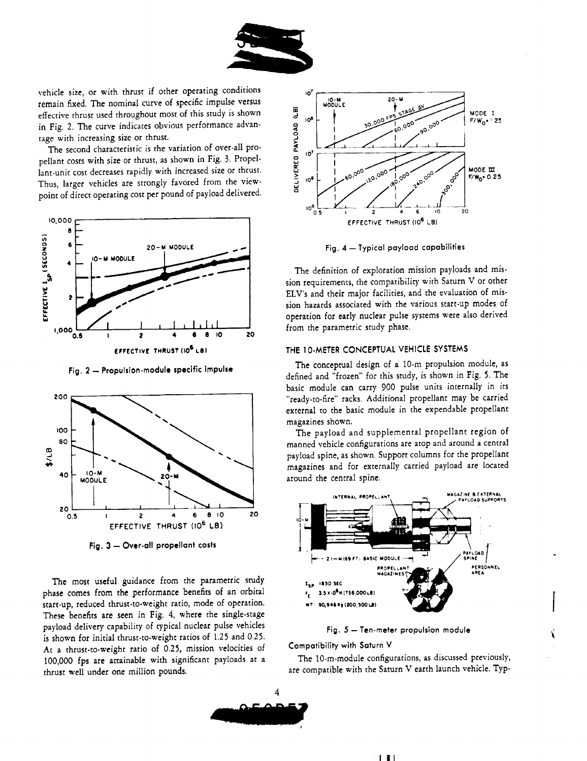

vehicle size, or with thrust if other operating conditions remain fixed. The nominal curve of specific impulse versus effective thrust used throughout most of this study is shown in Fig. 2. The curve indicates obvious performance advantage with increasing size or thrust.

The second characteristic is the variation of over-all propellant costs with size or thrust, as shown in Fig. 3. Propellant-unit cost decreases rapidly with increased size or thrust. Thus, larger vehicles are strongly favored from the viewpoint of direct operating cost per pound of payload delivered.



Fig. 2 - Propulsion-module specific impulse



Fig. 3 - Over-all propellant costs

The most useful guidance from the parametric study phase comes from the performance benefits of an orbital start-up, reduced thrust-to-weight ratio, mode of operation. These benefits are seen in Fig. 4, where the single-stage payload delivery capability of typical nuclear pulse vehicles is shown for initial thrust-to-weight ratios of 1.25 and 0.25. At a thrust-to-weight ratio of 0.25, mission velocities of 100,000 fps are attainable with significant payloads at a thrust well under one million pounds.



Fig. 4 - Typical payload capabilities

The definition of exploration mission payloads and mission requirements, the compatibility with Saturn V or other ELV's and their major facilities, and the evaluation of mission hazards associated with the various start-up modes of operation for early nuclear pulse systems were also derived from the parametric study phase.

## THE 10-METER CONCEPTUAL VEHICLE SYSTEMS

The conceptual design of a 10-m propulsion module, as defined and "frozen" for this study, is shown in Fig. 5. The basic module can carry 900 pulse units internally in its "ready-to-fire" racks. Additional propellant may be carried external to the basic module in the expendable propellant magazines shown.

The payload and supplemental propellant region of manned vehicle configurations are atop and around a central payload spine, as shown. Support columns for the propellant magazines and for externally carried payload are located around the central spine.



Fig. 5 - Ten-meter propulsion module

Í,

Compatibility with Saturn V

The 10-m-module configurations, as discussed previously, are compatible with the Saturn V earth launch vehicle. Typ-

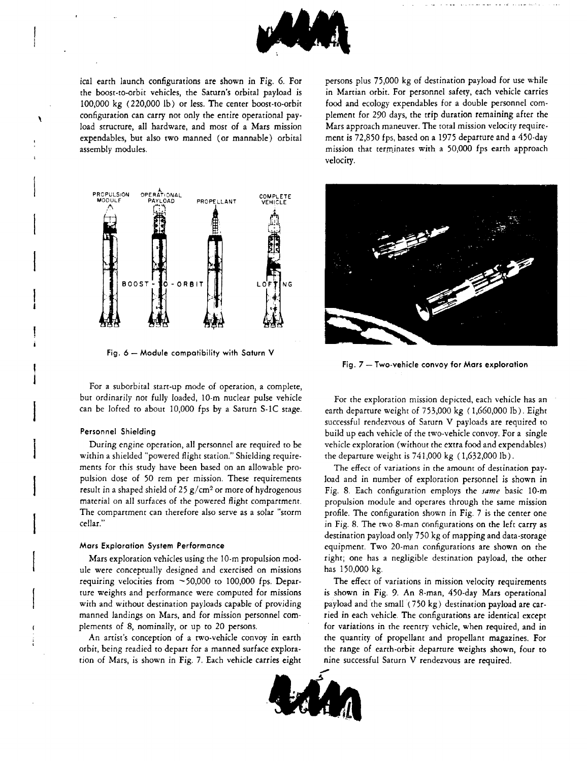

ical earth launch configurations are shown in Fig. 6. For the boost-to-orbit vehicles, the Saturn's orbital payload is 100,000 kg (220,000 lb) or less. The center boost-to-orbit configuration can carry not only the entire **operational** payload structure, **all** hardware, **and** most **of a Mars** mission expendables, but **also** two manned (or mannable) orbital assembly modules.



**Fig. 6-** Module compatibility **with Saturn** V

For **a** suborbital start-up mode of operation, **a** complete, but ordinarily not fully loaded, 10-m nuclear pulse vehicle can be lofted to about 10,000 fps by **a** Saturn S-1C stage.

#### **Personnel Shielding**

During engine operation, **a]l** personnel **are** required to be within **a** shielded "powered flight station." Shielding requirements for this study have been based on **an allowable** propulsion dose of 50 rem per mission. These requirements result in a shaped shield of 25  $g/cm<sup>2</sup>$  or more of hydrogenous material on **all** surfaces of the powered flight compartment. The compartment can therefore **also** serve **as a** solar "storm cellar."

#### **Mars** Exploration **System Performance**

**Mars** exploration vehicles using the 10-m propulsion module were conceptually designed and exercised on missions requiring velocities from  $\sim$  50,000 to 100,000 fps. Departure weights and performance were computed for missions with **and** without destination payloads capable of providing manned landings on **Mars,** and for mission personnel complements of 8, nominally, or up to 20 persons.

An artist's conception of **a** two-vehlcle convoy in earth orbit, being readied to depart for **a** manned surface exploration of **Mars,** is shown in **Fig.** 7. Each vehicle carries eight

persons plus 75,000 kg of destination payload for use while in **Martian** orbit. **For** personnel safety, each vehicle carries **food and** ecology expendables **for a** double personnel complement for 290 days, the trip duration remaining **after** the **Mars approach** maneuver. The total mission velocity requirement is 72,850 fps, based on **a** 1975 departure **and** a 450-day mission that terminates with **a** 50,000 fps earth **approach** velocity.



**Fig. 7** -- **Two-vehicle** convoy **for Mars exploration**

For the exploration mission depicted, each vehicle has **an** earth departure weight of 753,000 kg ( 1,660,000 lb). Eight successful rendezvous of Saturn V payloads **are** required to build up each vehicle of the two-vehicle convoy. For a single vehicle exploration (without the extra food **and** expendables) the departure weight is 741,000 kg ( 1,632,000 lb).

The effect of variations in the **amount** of destination payload and in number of exploration personnel is shown in Fig. 8. Each configuration employs the *same* basic 10-m propulsion module **and** operares through the same mission profile. The configuration shown in Fig. 7 is the center one in **Fig.** 8. The two 8-man configurations on the left carry **as** destination payload only 750 kg of mapping **and** data-storage equipment. Two 20-man configurations **are** shown on the right; one has **a** negligible destination payload, the other has 150,000 kg.

The effect of variations in mission velocity requirements is shown in Fig. **9.** An 8-man, 450-day **Mars** operational payload **and** the small (750 kg) destination payload **are** carried in each vehicle. The configurations **are** identical except for variations in the reentry vehicle, when required, **and** in the quantity of propellant **and** propellant magazines. **For** the range of earth-orbit departure weights shown, four to nine successful Saturn V rendezvous **are** required.

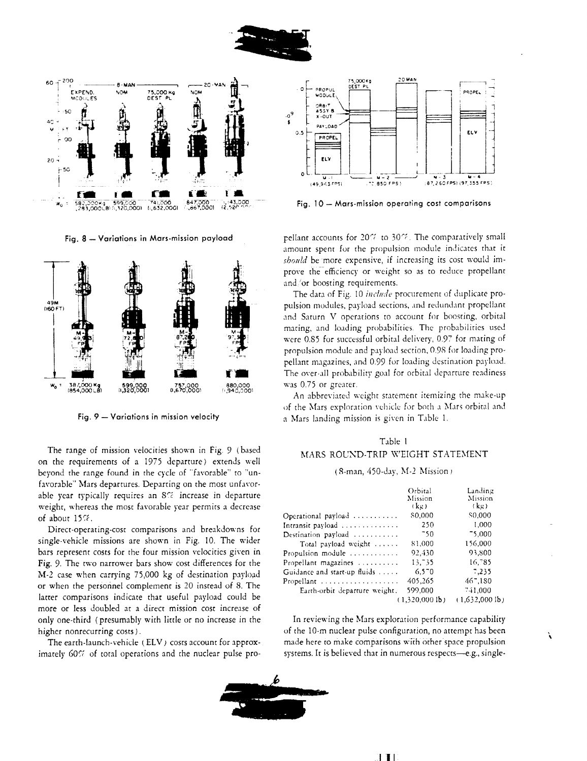



Fig. 8 - Variations in Mars-mission payload



Fig. 9 - Variations in mission velocity

The range of mission velocities shown in Fig. 9 (based on the requirements of a 1975 departure) extends well beyond the range found in the cycle of "favorable" to "unfavorable" Mars departures. Departing on the most unfavorable year typically requires an 8% increase in departure weight, whereas the most favorable year permits a decrease of about 15%.

Direct-operating-cost comparisons and breakdowns for single-vehicle missions are shown in Fig. 10. The wider bars represent costs for the four mission velocities given in Fig. 9. The two narrower bars show cost differences for the M-2 case when carrying 75,000 kg of destination payload or when the personnel complement is 20 instead of 8. The latter comparisons indicate that useful payload could be more or less doubled at a direct mission cost increase of only one-third (presumably with little or no increase in the higher nonrecurring costs).

The earth-launch-vehicle (ELV) costs account for approximately 60% of total operations and the nuclear pulse pro-



Fig. 10 - Mars-mission operating cost comparisons

pellant accounts for 20% to 30%. The comparatively small amount spent for the propulsion module indicates that it should be more expensive, if increasing its cost would improve the efficiency or weight so as to reduce propellant and/or boosting requirements.

The data of Fig. 10 *include* procurement of duplicate propulsion modules, payload sections, and redundant propellant and Saturn V operations to account for boosting, orbital mating, and loading probabilities. The probabilities used were 0.85 for successful orbital delivery, 0.97 for mating of propulsion module and payload section, 0.98 for loading propellant magazines, and 0.99 for loading destination payload. The over-all probability goal for orbital departure readiness was 0.75 or greater.

An abbreviated weight statement itemizing the make-up of the Mars exploration vehicle for both a Mars orbital and a Mars landing mission is given in Table 1.

## Table 1 MARS ROUND-TRIP WEIGHT STATEMENT

#### (8-man, 450-day, M-2 Mission)

|                                            | Orbital<br>Mission<br>(kg) | Landing<br>Mission<br>(kg) |
|--------------------------------------------|----------------------------|----------------------------|
| Operational payload                        | 80,000                     | \$0,000                    |
| Intransit payload                          | 250                        | 1.000                      |
| Destination payload $\ldots \ldots \ldots$ | <b>750</b>                 | $-5,000$                   |
| Total payload weight                       | 81,000                     | 156,000                    |
| Propulsion module $\ldots$                 | 92,430                     | 93,800                     |
| Propellant magazines                       | 13.35                      | 16,785                     |
| Guidance and start-up fluids               | 6.570                      | 7.235                      |
| Propellant                                 | 405,265                    | $46 - 180$                 |
| Earth-orbit departure weight.              | 599,000                    | 741,000                    |
|                                            | (1,320,0001b)              | (1,632,0001b)              |

In reviewing the Mars exploration performance capability of the 10-m nuclear pulse configuration, no attempt has been made here to make comparisons with other space propulsion systems. It is believed that in numerous respects-e.g., single-

1 T L

í

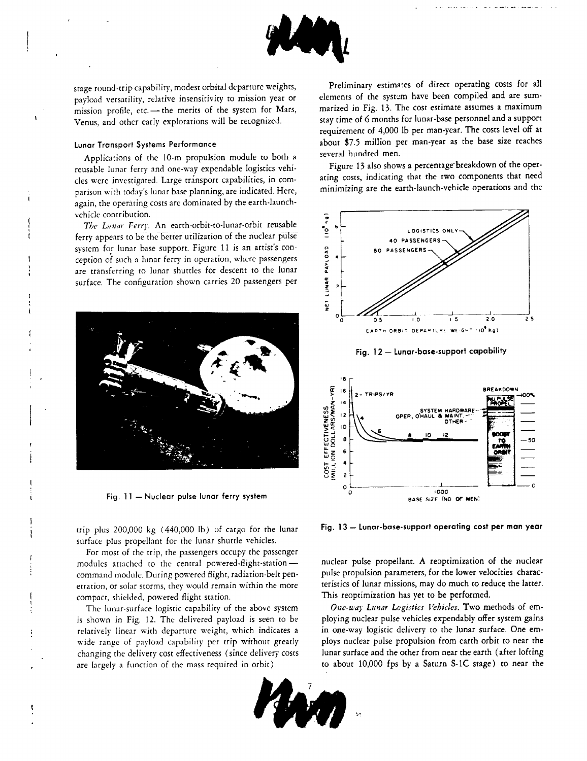

stage round-trip *capability,* modest orbital departure weights, payload versatility, relative insensitivity to mission year or mission profile, etc.-- the merits of the system for Mars, Venus, **and** other early explorations will be recognized.

#### **Lunar Transport** Systems **Performance**

Applications of the 10-m **propulsion module** to both **a reusable** *hmar* ferry and **one-way expendable** logistics **vehi**cles were investigated. Large transport capabilities, in com**parison** with today's lunar base planning, are **indicated.** Here, again, the **operating** costs are dominated by the **earth-launch**vehicle contribution.

*The Lunar Ferry.* **An earth-orbit-to-lunar-orbit** reusable ferry appears **to** be the better utilization **of** the **nuclear** pulse **system for** lunar base **support. Figure 11** is an artist's conception of such a lunar ferry in operation, where passengers are **transferring** to lunar **shuttles for** descent to the lunar surface. The *configuration* shown *carries* **20** passengers per



**Fig. ] I --** Nuclear pulse **lunar ferry system**

trip **plus** 200,000 **kg (440,000** lb) of cargo **for** the lunar surface plus propellant for the lunar shuttle vehicles.

For most of the trip, the passengers occupy the passenger modules attached to the central powered-flight-station $$ command module. During powered **flight,** radiation-belt penetration, or solar storms, they **would** remain **within** the more compact, **shielded,** powered **flight** station.

The lunar-surface logistic capability of the above system is shown in Fig. 12. The delivered payload is seen to be relatively linear **with** departure **weight, which indicates** a wide range of payload capability per trip without greatly changing the delivery cost effectiveness (since delivery costs are largely a function of the mass required in orbit).

Preliminary **estima:es of** direct operating costs **for** all **elements of** the **system have** been compiled and are **summarized** in **Fig.** 13. **The** cost **estimate** assumes **a maximum stay** tequirement of 4,000 lb per man-year. The costs level off at **requirement of** 4,000 Ib **per man-year. The** costs level **off at about** \$7.5 **million per man-year** as the base **size** reaches **several hundred men.**

Figure 13 **also shows a** percentage'breakdown **of the oper**ating costs, indicating **that the** two components **that need minimizing** are **the earth-launch-vehicle operations and the**







**Fig. 13 -- Lunar-base-support operating** cost per **man ,/ear**

nuclear pulse propellant. **A reoptimizarion of** the **nuclear pulse propulsion parameters, for** the lower **velocities** charac**teristics of** lunar **missions, may do much** to **reduce** the latter. **This** reoptimization **has** yet to be performed.

*One-way Lunar Logistics Vehicles.* **Two methods of employing** nuclear **pulse vehicles expendably offer system** gains **in one-way logistic** delivery **to** the **lunar surface.** One **employs nuclear pulse propulsion from earth orbit to near** the lunar **surface** and **the other from near** the **earth (after** lofting **to** about 10,000 **fps** by a Saturn S-1C **stage) to near the**

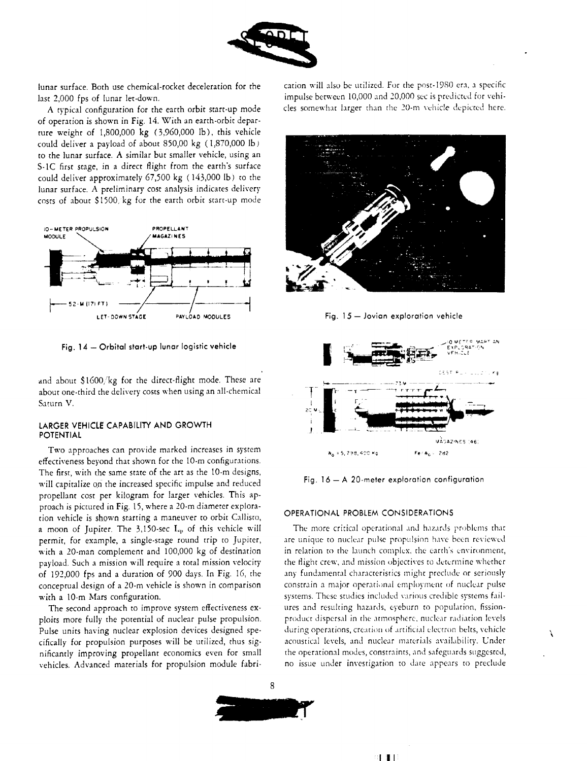

lunar surface. Both use chemical-rocket deceleration for the last *2,000* fps of lunar let-down,

A typical configuration for the earth orbit start-up mode of operation is shown in Fig. 14. With an earth-orbit departure weight of 1,800,000 kg (3,960,000 lb), this vehicle could deliver a payload of about 850,00 kg (1,870,000 lb) to the lunar surface. A similar but smaller vehicle, using an S-1C first stage, in a direct flight from the earth's surface could deliver approximately *67,500* kg ( 143,000 [b) to the lunar surface. A preliminary cost analysis indicates delivery costs of about \$1500, kg for the earth orbit start-up mode



Fig.  $14$  -- Orbital start-up lunar logistic vehicle

and about \$1600/kg for the direct-flight mode. These are about one-third the delivery costs when using an all-chemical Saturn V.

## LARGER VEHICLE CAPABILITY AND **GROWTH** POTENTIAL

Two approaches *can* provide marked increases in system effectiveness beyond that shown for *the* t0-m configurations. The first, with the same state of the art as the 10-m designs, will capitalize on the increased specific impulse and reduced propellant cost per kilogram for larger vehicles. This approach is pictured in Fig. 15, where a 20-m diameter explora*tion* vehicle is shown starting a maneuver to orbit Callisto, a moon of Jupiter. The 3,150-sec  $I_{\rm sp}$  of this vehicle will permit, for example, a single-stage round trip to Jupiter, with a 20-man *complement* and 100,000 kg of destination payload. Such a mission will require a total mission velocity of 192,000 fps and a duration of 900 days. In Fig. 16, the *conceptual* design of a 20-m vehicle is shown in comparison with a 10-m Mars *configuration.*

The second approach to improve system effectiveness exploits more fully the potential of nuclear pulse propulsion. Pulse units having nuclear explosion devices designed specifically for propulsion purposes will be utilized, thus significantly improving propellant economics even for small vehicles. Advanced materials for propulsion module fabrication will also be utilized. For the post-t980 era, a specific impulse between 10,000 and *20,000* **sec** is predicted for vehicles somewhat larger than the 20-m vehicle depicted here.



Fig. 15--Jovian **exploration** vehlcle



Fig.  $16 - A$  20-meter exploration configuration

#### OPERATIONAL PROBLEM CONSIDERATIONS

The more critical operational and hazards problems that are unique to nuclear pulse propulsion have been reviewed in relation to the launch complex, the earth's environment, the flight crew, and mission objectives to determine whether any fundamental characteristics might preclude or seriously constrain a major operational employment of nuclear pulse systems. These studies included various credible systems failures and resulting hazards, cyeburn to population, fissionproduct dispersal in die atmosphere, nuclear radiation levels during operations, creation of artificial electron belts, vehicle acoustical levels, and nuclear materials availability. Under the operational modes, *constraints,* and safeguards suggested, no issue under investigation to date appears to preclude

N

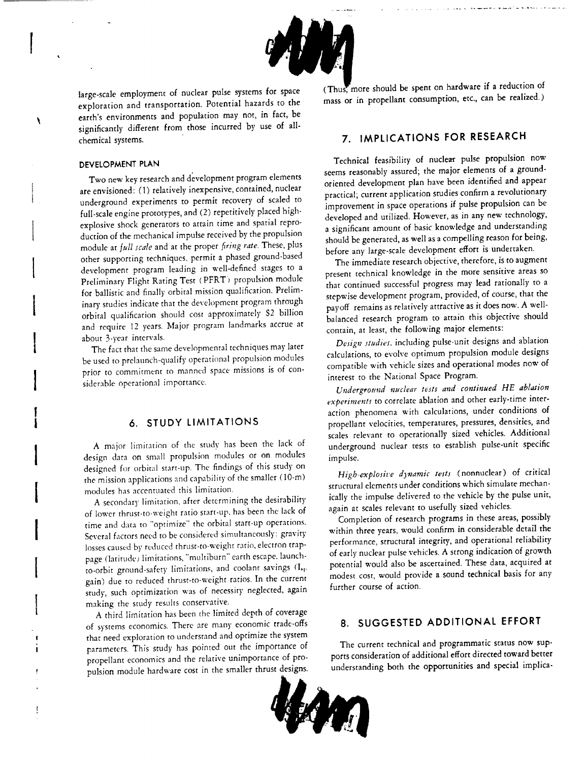

large-scale employment of nuclear pulse systems for space exploration **and** transportation. Potential hazards to the earth's environments **and** population may not, in fact, be significantly different from those incurred by use of **all**chemical systems.

#### DEVELOPMENT PLAN

N

Two new key research and development **program** elements are **envisioned: (1) relatively inexpensive,** contained, **nuclear underground** experiments **to** permit **recovery of scaled to** full-scale **engine prototypes,** and **(2) repetitiveIy placed highexplosive shock** generators **to** attain time and **spatial** reproduction **of** the **mechanical impulse received** by the **propulsion module** at *lull scale* and at the **proper** *firing rate.* **These, plus other supporting** techniques, **permit** a **phased** ground-based development **program leading** in well-defined **stages to** a Preliminary **Flight Rating** Test **(PFRT)** propulsion module **for** ballistic and finally orbital mission qualification. Prelim**inary** studies indicate that the development program through orbital qualification should cost approximately *8;2* billion and require I2 years. Major program landmarks accrue at about 3-year intervals.

The fact that the same developmental **techniques** may later be used *to* prelaunch-qualify *operational* propulsion modules prior to commitment to manned space missions is of considerable operational importance.

## 6. STUDY LIMITATIONS

A major limitation of the study has been the lack of design data on small propulsion modules or on modules designed for orbital start-up. The **findings** of this study on the mission applications and *capability* of the smaller **(10-m)** modules has accentuated this limitation.

A secondary limitation, after determining *the* desirability of lower thrust-to-weight ratio start-up, has been the lack of time and data to "optimize" the orbital start-up operations. Several factors need *to* be considered simultaneously: gravity losses caused by reduced thrust-to-weight ratio, electron trappage *(latitude)* limitations, "multiburn'" earth escape, launchto-orbit ground-safety limitations, and coolant savings *(L,, gain)* due to reduced thrust-to-weight ratios. In *the current* study, such optimization was of necessity neglected, again making the study results *conservative.*

A third limitation has been the limited depth of coverage of systems economics. There are many economic trade-offs that need exploration to understand and optimize the system parameters. This study has pointed out the importance of propellant economics and *the* relative unimportance of propulsion module hardware *cost* in **the** smaller thrust designs.

lore should be spent on hardware if **a reduction** of mass or in **propellant** consumption, etc., can be realized.)

## 7. IMPLICATIONS **FOR** RESEARCH

Technical **feasibility of** nuclear pulse propulsion **now**  $\alpha$  reasonably assured; the plan have been identified and appear practical; current application studies confirm a revolutionary improvement in space operations if pulse propulsion can be developed and utilized. However, as in any new technology, a significant amount of basic knowledge and understanding should be generated, as well as a compelling reason for being, before any large-scale development effort is undertaken.

The immediate research objective, therefore, is to augment present technical knowledge in the more sensitive areas so that continued successful progress may lead rationally to a stepwise development program, provided, of course, that the payoff remains as relatively attractive as it does now. A wellbalanced research program to attain this objective should contain, at least, the following major elements:

Design studies, including pulse-unit designs and ablation  $\alpha$  calculations, to evolve optimum propulsion module designs compatible with vehicle sizes and operational modes now of interest to the National Space Program.

Underground nuclear tests and continued HE ablation *experiments* to correlate ablation and other early-time interaction phenomena with calculations, under conditions of propellant velocities, temperatures, pressures, densities, and scales relevant to operationally sized vehicles. Additional scales relevant *to* operationally sized vehicles. Additional  $\mathcal{C}$  tests to establish pulse-unit specification pulse-unit specification pulse-unit specification pulse-unit specification  $\mathcal{C}$ impulse.

*High-explosive dynamic tests* (nonnuclear) of critical ically the impulse delivered to the vehicle by the pulse unit, again at scales relevant to usefully sized vehicles.

Completion of research programs in these areas, possibly within three years, would confirm in considerable detail the performance, structural integrity, and operational reliability of early nuclear pulse vehicles. A strong indication of growth potential would also be ascertained. These data, acquired at potential would also be ascertained. *These* data, acquired at modest cost, would provide a sound technical basis for any further course of action.

## 8. SUGGESTED ADDITIONAL **EFFORT**

The current technical and programmatic status now supports consideration of additional effort directed toward better ports consideration of additional effort *directed* toward better  $\frac{1}{\sqrt{2}}$  both the opportunities and special implications and special implications and special implications implications are special implications in the special implication of  $\frac{1}{\sqrt{2}}$